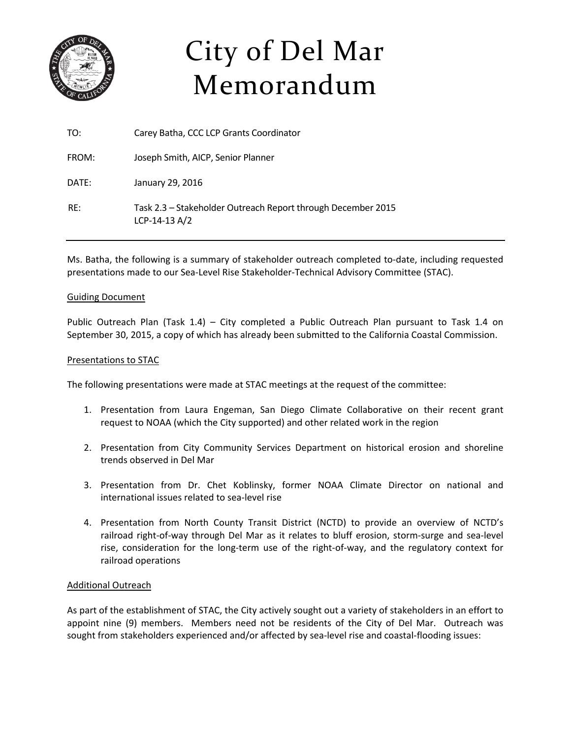

# City of Del Mar Memorandum

| TO:   | Carey Batha, CCC LCP Grants Coordinator                                         |
|-------|---------------------------------------------------------------------------------|
| FROM: | Joseph Smith, AICP, Senior Planner                                              |
| DATE: | January 29, 2016                                                                |
| RF:   | Task 2.3 - Stakeholder Outreach Report through December 2015<br>$LCP-14-13 A/2$ |

Ms. Batha, the following is a summary of stakeholder outreach completed to‐date, including requested presentations made to our Sea‐Level Rise Stakeholder‐Technical Advisory Committee (STAC).

### Guiding Document

Public Outreach Plan (Task 1.4) – City completed a Public Outreach Plan pursuant to Task 1.4 on September 30, 2015, a copy of which has already been submitted to the California Coastal Commission.

### Presentations to STAC

The following presentations were made at STAC meetings at the request of the committee:

- 1. Presentation from Laura Engeman, San Diego Climate Collaborative on their recent grant request to NOAA (which the City supported) and other related work in the region
- 2. Presentation from City Community Services Department on historical erosion and shoreline trends observed in Del Mar
- 3. Presentation from Dr. Chet Koblinsky, former NOAA Climate Director on national and international issues related to sea‐level rise
- 4. Presentation from North County Transit District (NCTD) to provide an overview of NCTD's railroad right‐of‐way through Del Mar as it relates to bluff erosion, storm‐surge and sea‐level rise, consideration for the long-term use of the right-of-way, and the regulatory context for railroad operations

#### Additional Outreach

As part of the establishment of STAC, the City actively sought out a variety of stakeholders in an effort to appoint nine (9) members. Members need not be residents of the City of Del Mar. Outreach was sought from stakeholders experienced and/or affected by sea-level rise and coastal-flooding issues: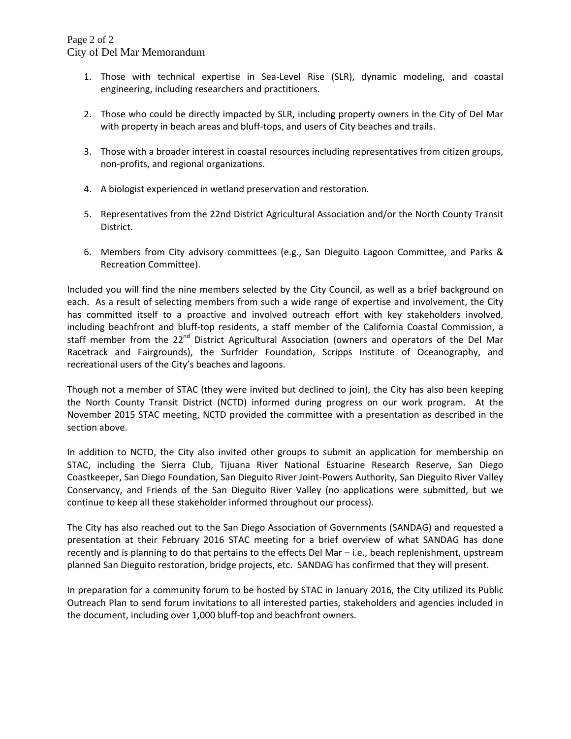- 1. Those with technical expertise in Sea‐Level Rise (SLR), dynamic modeling, and coastal engineering, including researchers and practitioners.
- 2. Those who could be directly impacted by SLR, including property owners in the City of Del Mar with property in beach areas and bluff-tops, and users of City beaches and trails.
- 3. Those with a broader interest in coastal resources including representatives from citizen groups, non‐profits, and regional organizations.
- 4. A biologist experienced in wetland preservation and restoration.
- 5. Representatives from the 22nd District Agricultural Association and/or the North County Transit District.
- 6. Members from City advisory committees (e.g., San Dieguito Lagoon Committee, and Parks & Recreation Committee).

Included you will find the nine members selected by the City Council, as well as a brief background on each. As a result of selecting members from such a wide range of expertise and involvement, the City has committed itself to a proactive and involved outreach effort with key stakeholders involved, including beachfront and bluff‐top residents, a staff member of the California Coastal Commission, a staff member from the 22<sup>nd</sup> District Agricultural Association (owners and operators of the Del Mar Racetrack and Fairgrounds), the Surfrider Foundation, Scripps Institute of Oceanography, and recreational users of the City's beaches and lagoons.

Though not a member of STAC (they were invited but declined to join), the City has also been keeping the North County Transit District (NCTD) informed during progress on our work program. At the November 2015 STAC meeting, NCTD provided the committee with a presentation as described in the section above.

In addition to NCTD, the City also invited other groups to submit an application for membership on STAC, including the Sierra Club, Tijuana River National Estuarine Research Reserve, San Diego Coastkeeper, San Diego Foundation, San Dieguito River Joint‐Powers Authority, San Dieguito River Valley Conservancy, and Friends of the San Dieguito River Valley (no applications were submitted, but we continue to keep all these stakeholder informed throughout our process).

The City has also reached out to the San Diego Association of Governments (SANDAG) and requested a presentation at their February 2016 STAC meeting for a brief overview of what SANDAG has done recently and is planning to do that pertains to the effects Del Mar – i.e., beach replenishment, upstream planned San Dieguito restoration, bridge projects, etc. SANDAG has confirmed that they will present.

In preparation for a community forum to be hosted by STAC in January 2016, the City utilized its Public Outreach Plan to send forum invitations to all interested parties, stakeholders and agencies included in the document, including over 1,000 bluff‐top and beachfront owners.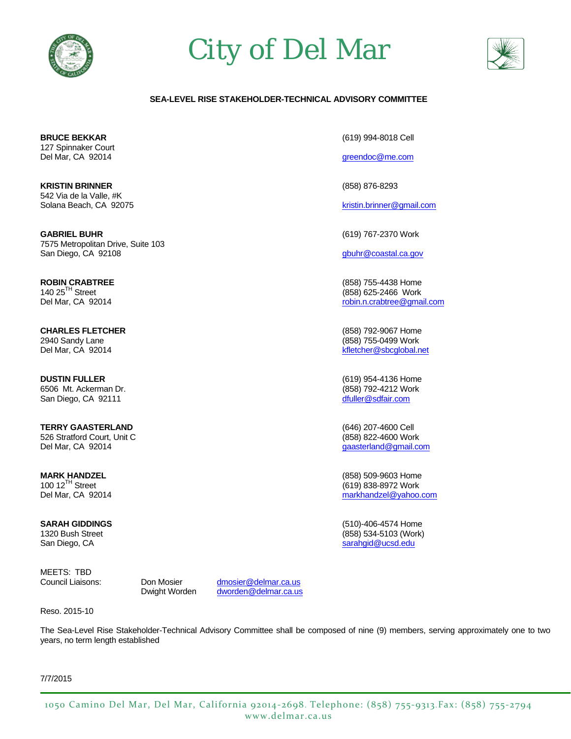

# City of Del Mar



#### **SEA-LEVEL RISE STAKEHOLDER-TECHNICAL ADVISORY COMMITTEE**

**BRUCE BEKKAR** (619) 994-8018 Cell 127 Spinnaker Court Del Mar, CA 92014 greendoc@me.com

**KRISTIN BRINNER** (858) 876-8293 542 Via de la Valle, #K Solana Beach, CA 92075 kristin.brinner@gmail.com

**GABRIEL BUHR** (619) 767-2370 Work 7575 Metropolitan Drive, Suite 103 San Diego, CA 92108 **buhr** et al. and the state of the state of the state of the state of the state of the state of the state of the state of the state of the state of the state of the state of the state of the state of th

**ROBIN CRABTREE** (858) 755-4438 Home

**CHARLES FLETCHER** (858) 792-9067 Home 2940 Sandy Lane (858) 755-0499 Work

**DUSTIN FULLER** (619) 954-4136 Home 6506 Mt. Ackerman Dr. (858) 792-4212 Work San Diego, CA 92111 dfuller@sdfair.com

**TERRY GAASTERLAND** (646) 207-4600 Cell 526 Stratford Court, Unit C (858) 822-4600 Work Del Mar, CA 92014 gaasterland@gmail.com

**SARAH GIDDINGS** (510)-406-4574 Home San Diego, CA sarahgid@ucsd.edu sarahgid@ucsd.edu sarahgid@ucsd.edu

MEETS: TBD

Council Liaisons: Don Mosier dmosier@delmar.ca.us Dwight Worden dworden@delmar.ca.us

Reso. 2015-10

The Sea-Level Rise Stakeholder-Technical Advisory Committee shall be composed of nine (9) members, serving approximately one to two years, no term length established

7/7/2015

140 25<sup>'n</sup> Street (858) 625-2466 Work<br>Del Mar, CA 92014 robin.n.crabtree@gma robin.n.crabtree@gmail.com

Del Mar, CA 92014 kfletcher@sbcglobal.net

**MARK HANDZEL** (858) 509-9603 Home (619) 838-8972 Work Del Mar, CA 92014 markhandzel@yahoo.com

1320 Bush Street (858) 534-5103 (Work)